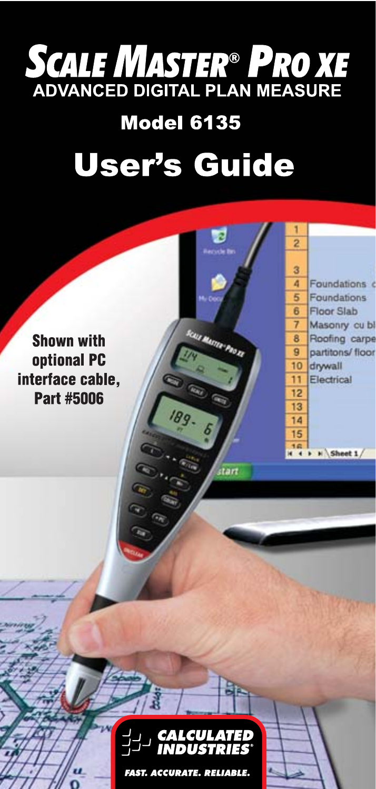# **SCALE MASTER<sup>®</sup> PRO XE**<br>ADVANCED DIGITAL PLAN MEASURE

## **Model 6135 User's Guide**

**TANICA** 

**Shown with** optional PC interface cable. Part #5006





**FAST. ACCURATE. RELIABLE.**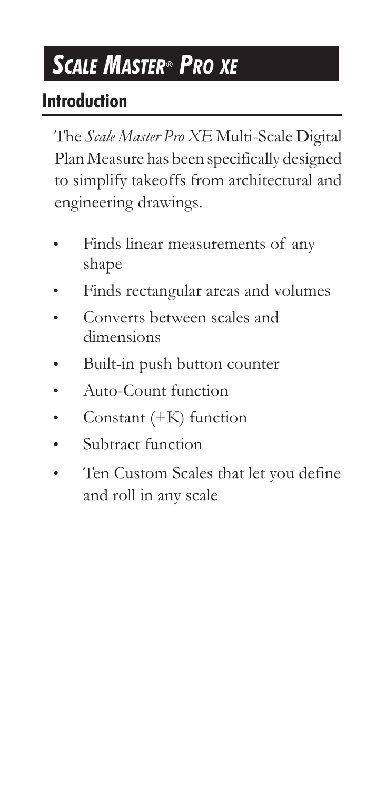## *SCALE MASTER® PRO XE*

#### **Introduction**

The *Scale Master Pro XE* Multi-Scale Digital Plan Measure has been specifically designed to simplify takeoffs from architectural and engineering drawings.

- Finds linear measurements of any shape
- Finds rectangular areas and volumes
- Converts between scales and dimensions
- Built-in push button counter
- Auto-Count function
- Constant  $(+K)$  function
- Subtract function
- Ten Custom Scales that let you define and roll in any scale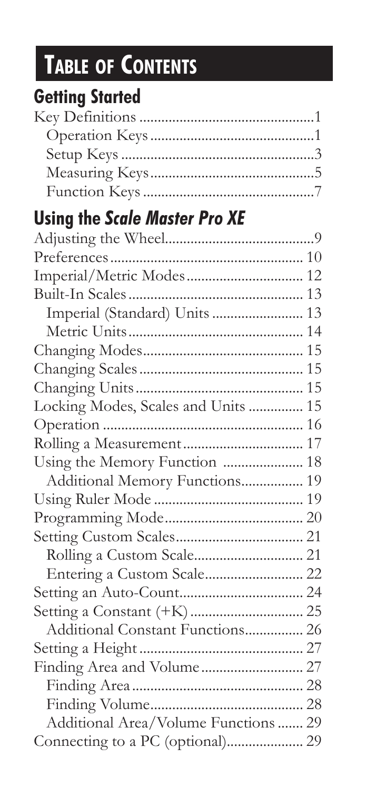## **TABLE OF CONTENTS**

### **Getting Started**

### **Using the** *Scale Master Pro XE*

| Imperial/Metric Modes 12             |  |
|--------------------------------------|--|
|                                      |  |
| Imperial (Standard) Units  13        |  |
|                                      |  |
|                                      |  |
|                                      |  |
|                                      |  |
| Locking Modes, Scales and Units  15  |  |
|                                      |  |
|                                      |  |
| Using the Memory Function  18        |  |
| Additional Memory Functions 19       |  |
|                                      |  |
|                                      |  |
|                                      |  |
|                                      |  |
|                                      |  |
|                                      |  |
|                                      |  |
| Additional Constant Functions 26     |  |
|                                      |  |
|                                      |  |
|                                      |  |
|                                      |  |
| Additional Area/Volume Functions  29 |  |
| Connecting to a PC (optional) 29     |  |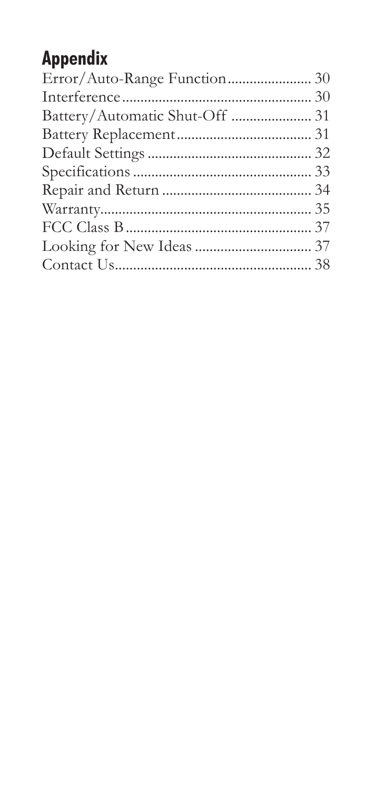### **Appendix**

| Battery/Automatic Shut-Off  31 |  |
|--------------------------------|--|
|                                |  |
|                                |  |
|                                |  |
|                                |  |
|                                |  |
|                                |  |
|                                |  |
|                                |  |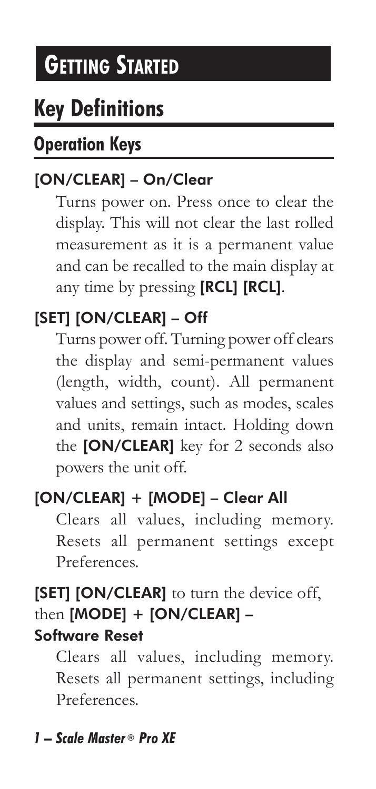## *GETTING STARTED*

### **Key Definitions**

#### **Operation Keys**

#### [ON/CLEAR] – On/Clear

 Turns power on. Press once to clear the display. This will not clear the last rolled measurement as it is a permanent value and can be recalled to the main display at any time by pressing [RCL] [RCL].

#### [SET] [ON/CLEAR] – Off

 Turns power off. Turning power off clears the display and semi-permanent values (length, width, count). All permanent values and settings, such as modes, scales and units, remain intact. Holding down the [ON/CLEAR] key for 2 seconds also powers the unit off.

#### [ON/CLEAR] + [MODE] – Clear All

Clears all values, including memory. Resets all permanent settings except Preferences.

#### [SET] [ON/CLEAR] to turn the device off, then [MODE] + [ON/CLEAR] -Software Reset

 Clears all values, including memory. Resets all permanent settings, including Preferences.

#### *1 – Scale Master ® Pro XE*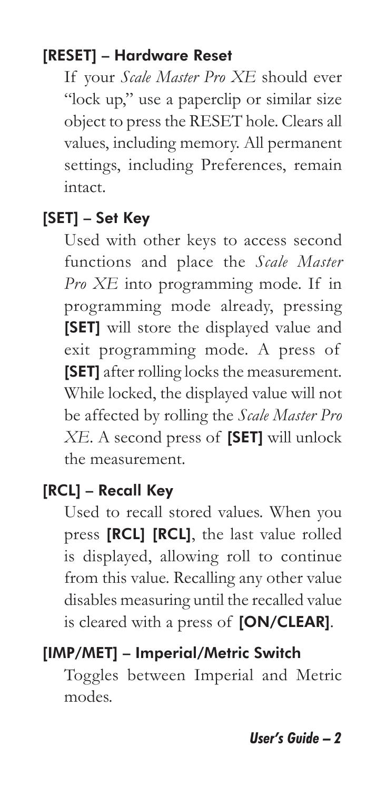#### [RESET] – Hardware Reset

 If your *Scale Master Pro XE* should ever "lock up," use a paperclip or similar size object to press the RESET hole. Clears all values, including memory. All permanent settings, including Preferences, remain intact.

#### [SET] – Set Key

 Used with other keys to access second functions and place the *Scale Master Pro XE* into programming mode. If in programming mode already, pressing [SET] will store the displayed value and exit programming mode. A press of [SET] after rolling locks the measurement. While locked, the displayed value will not be affected by rolling the *Scale Master Pro XE*. A second press of [SET] will unlock the measurement.

#### [RCL] – Recall Kev

 Used to recall stored values. When you press [RCL] [RCL], the last value rolled is displayed, allowing roll to continue from this value. Recalling any other value disables measuring until the recalled value is cleared with a press of [ON/CLEAR].

#### [IMP/MET] – Imperial/Metric Switch

 Toggles between Imperial and Metric modes.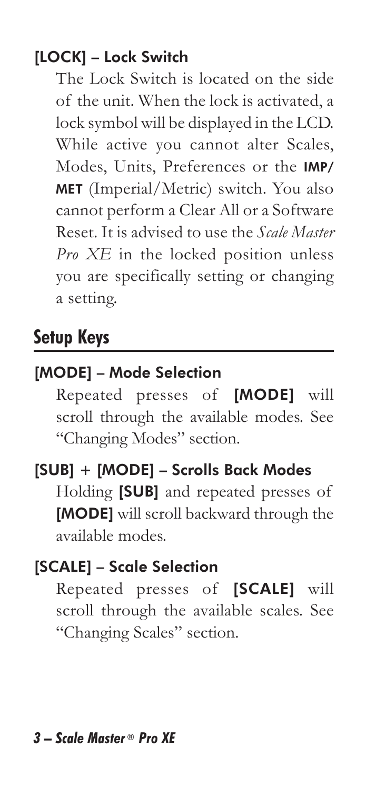#### [LOCK] – Lock Switch

 The Lock Switch is located on the side of the unit. When the lock is activated, a lock symbol will be displayed in the LCD. While active you cannot alter Scales, Modes, Units, Preferences or the IMP/ MET (Imperial/Metric) switch. You also cannot perform a Clear All or a Software Reset. It is advised to use the *Scale Master Pro XE* in the locked position unless you are specifically setting or changing a setting.

#### **Setup Keys**

#### [MODE] – Mode Selection

 Repeated presses of [MODE] will scroll through the available modes. See "Changing Modes" section.

[SUB] + [MODE] – Scrolls Back Modes Holding [SUB] and repeated presses of [MODE] will scroll backward through the available modes.

#### [SCALE] – Scale Selection

 Repeated presses of [SCALE] will scroll through the available scales. See "Changing Scales" section.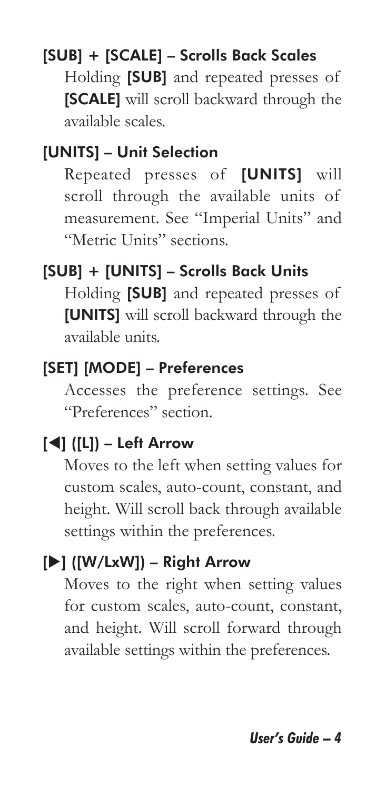#### [SUB] + [SCALE] – Scrolls Back Scales

 Holding [SUB] and repeated presses of [SCALE] will scroll backward through the available scales.

#### [UNITS] – Unit Selection

 Repeated presses of [UNITS] will scroll through the available units of measurement. See "Imperial Units" and "Metric Units" sections.

#### [SUB] + [UNITS] – Scrolls Back Units

 Holding [SUB] and repeated presses of [UNITS] will scroll backward through the available units.

#### [SET] [MODE] – Preferences

 Accesses the preference settings. See "Preferences" section.

#### $\left[\blacktriangleleft\right]$  ( $\left[\text{L}\right]$ ) – Left Arrow

 Moves to the left when setting values for custom scales, auto-count, constant, and height. Will scroll back through available settings within the preferences.

#### [X] ([W/LxW]) – Right Arrow

 Moves to the right when setting values for custom scales, auto-count, constant, and height. Will scroll forward through available settings within the preferences.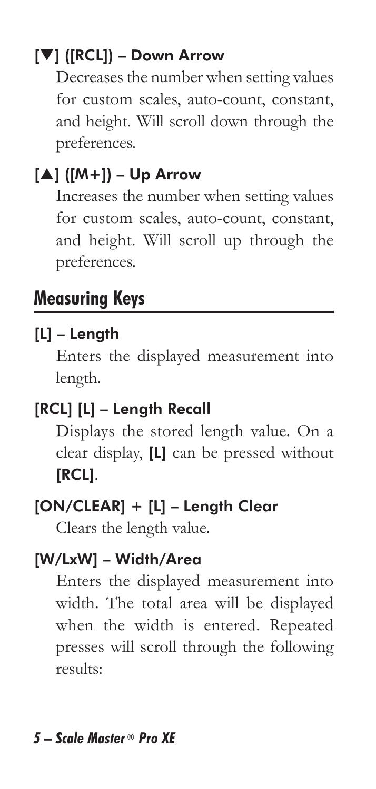#### [T] ([RCL]) – Down Arrow

 Decreases the number when setting values for custom scales, auto-count, constant, and height. Will scroll down through the preferences.

#### $[A]$  ( $[M+]$ ) – Up Arrow

 Increases the number when setting values for custom scales, auto-count, constant, and height. Will scroll up through the preferences.

#### **Measuring Keys**

#### [L] – Length

 Enters the displayed measurement into length.

#### [RCL] [L] - Length Recall

 Displays the stored length value. On a clear display, [L] can be pressed without [RCL].

#### [ON/CLEAR] + [L] – Length Clear

Clears the length value.

#### [W/LxW] – Width/Area

 Enters the displayed measurement into width. The total area will be displayed when the width is entered. Repeated presses will scroll through the following results: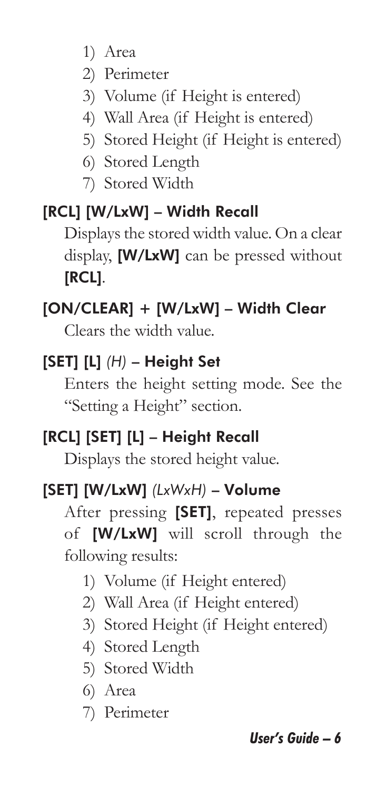- 1) Area
- 2) Perimeter
- 3) Volume (if Height is entered)
- 4) Wall Area (if Height is entered)
- 5) Stored Height (if Height is entered)
- 6) Stored Length
- 7) Stored Width

#### [RCL] [W/LxW] – Width Recall

 Displays the stored width value. On a clear display, [W/LxW] can be pressed without [RCL].

#### [ON/CLEAR] + [W/LxW] – Width Clear

Clears the width value.

#### [SET] [L] *(H)* – Height Set

 Enters the height setting mode. See the "Setting a Height" section.

#### [RCL] [SET] [L] – Height Recall

Displays the stored height value.

#### [SET] [W/LxW] *(LxWxH)* – Volume

 After pressing [SET], repeated presses of [W/LxW] will scroll through the following results:

- 1) Volume (if Height entered)
- 2) Wall Area (if Height entered)
- 3) Stored Height (if Height entered)
- 4) Stored Length
- 5) Stored Width
- 6) Area
- 7) Perimeter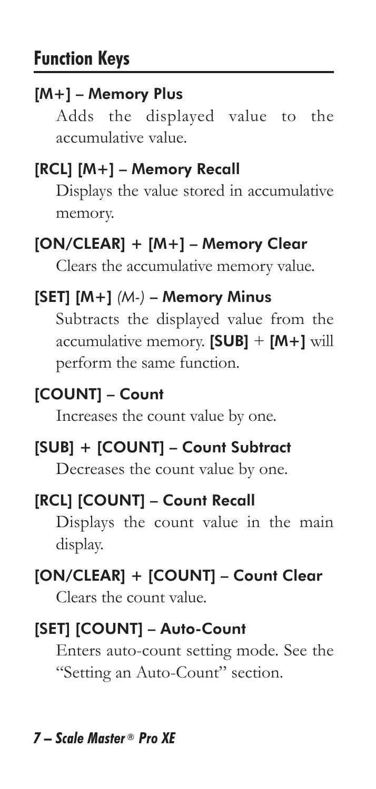#### [M+] – Memory Plus

 Adds the displayed value to the accumulative value.

#### [RCL] [M+] – Memory Recall

 Displays the value stored in accumulative memory.

#### [ON/CLEAR] + [M+] – Memory Clear

Clears the accumulative memory value.

#### [SET] [M+] *(M-)* – Memory Minus

 Subtracts the displayed value from the accumulative memory. [SUB] + [M+] will perform the same function.

#### [COUNT] – Count

Increases the count value by one.

#### [SUB] + [COUNT] – Count Subtract

Decreases the count value by one.

#### [RCL] [COUNT] – Count Recall

 Displays the count value in the main display.

#### [ON/CLEAR] + [COUNT] – Count Clear

Clears the count value.

#### [SET] [COUNT] – Auto-Count

 Enters auto-count setting mode. See the "Setting an Auto-Count" section.

#### *7 – Scale Master ® Pro XE*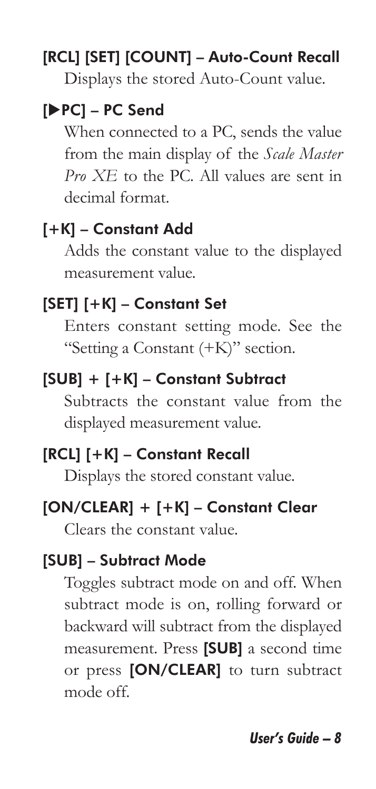#### [RCL] [SET] [COUNT] – Auto-Count Recall

Displays the stored Auto-Count value.

#### [XPC] – PC Send

 When connected to a PC, sends the value from the main display of the *Scale Master Pro XE* to the PC. All values are sent in decimal format.

#### [+K] – Constant Add

 Adds the constant value to the displayed measurement value.

#### [SET] [+K] – Constant Set

 Enters constant setting mode. See the "Setting a Constant (+K)" section.

#### [SUB] + [+K] – Constant Subtract

 Subtracts the constant value from the displayed measurement value.

#### [RCL] [+K] – Constant Recall

Displays the stored constant value.

#### [ON/CLEAR] + [+K] – Constant Clear

Clears the constant value.

#### [SUB] – Subtract Mode

 Toggles subtract mode on and off. When subtract mode is on, rolling forward or backward will subtract from the displayed measurement. Press [SUB] a second time or press [ON/CLEAR] to turn subtract mode off.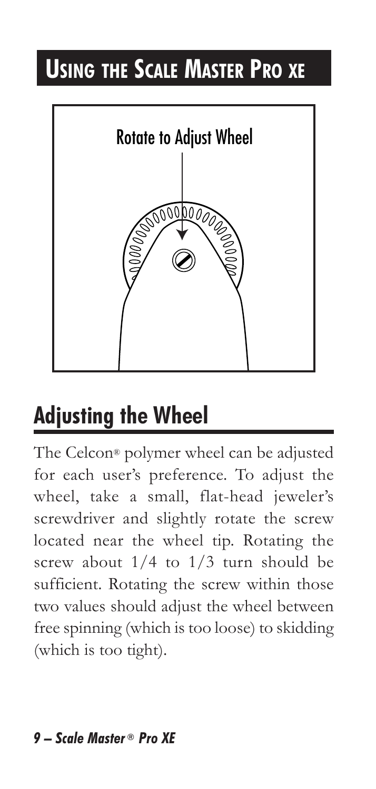## **USING THE SCALE MASTER PRO XE**



## **Adjusting the Wheel**

The Celcon® polymer wheel can be adjusted for each user's preference. To adjust the wheel, take a small, flat-head jeweler's screwdriver and slightly rotate the screw located near the wheel tip. Rotating the screw about 1/4 to 1/3 turn should be sufficient. Rotating the screw within those two values should adjust the wheel between free spinning (which is too loose) to skidding (which is too tight).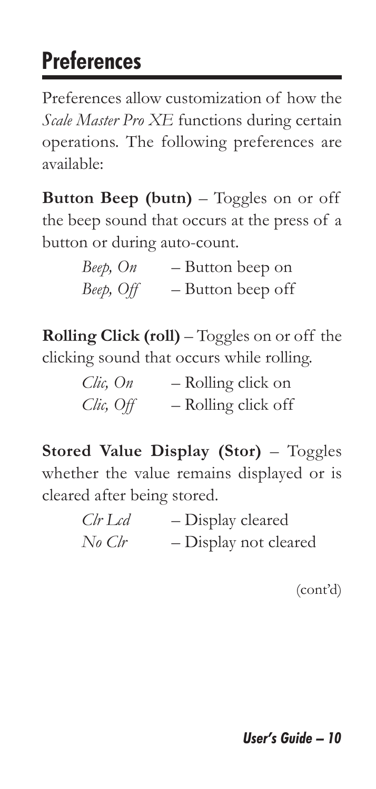## **Preferences**

Preferences allow customization of how the *Scale Master Pro XE* functions during certain operations. The following preferences are available:

**Button Beep (butn)** – Toggles on or off the beep sound that occurs at the press of a button or during auto-count.

| Beep, On  | - Button beep on  |
|-----------|-------------------|
| Beep, Off | - Button beep off |

**Rolling Click (roll)** – Toggles on or off the clicking sound that occurs while rolling.

| Clic, On  | - Rolling click on  |
|-----------|---------------------|
| Clic, Off | - Rolling click off |

**Stored Value Display (Stor)** – Toggles whether the value remains displayed or is cleared after being stored.

| Clr Lcd | - Display cleared     |
|---------|-----------------------|
| No Clr  | - Display not cleared |

(cont'd)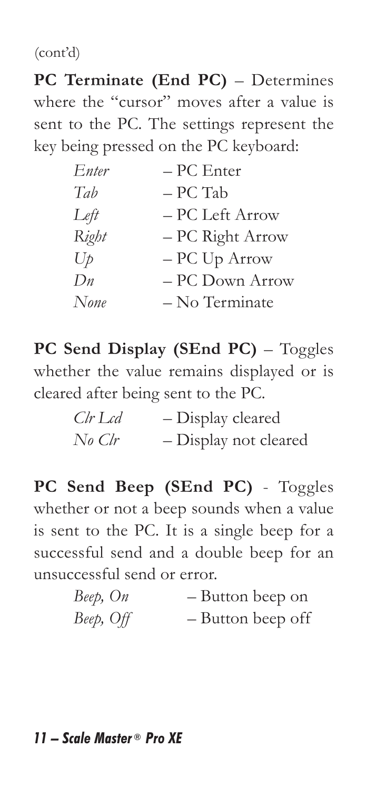(cont'd)

**PC Terminate (End PC)** – Determines where the "cursor" moves after a value is sent to the PC. The settings represent the key being pressed on the PC keyboard:

| Enter | – PC Enter       |
|-------|------------------|
| Tab   | – PC Tab         |
| Left  | – PC Left Arrow  |
| Right | – PC Right Arrow |
| $U_p$ | – PC Up Arrow    |
| Dn    | – PC Down Arrow  |
| None  | - No Terminate   |

**PC Send Display (SEnd PC)** – Toggles whether the value remains displayed or is cleared after being sent to the PC.

| $Clr$ Lcd | - Display cleared     |
|-----------|-----------------------|
| No Clr    | - Display not cleared |

**PC Send Beep (SEnd PC)** - Toggles whether or not a beep sounds when a value is sent to the PC. It is a single beep for a successful send and a double beep for an unsuccessful send or error.

| Beep, On  |  | - Button beep on  |  |
|-----------|--|-------------------|--|
| Beep, Off |  | - Button beep off |  |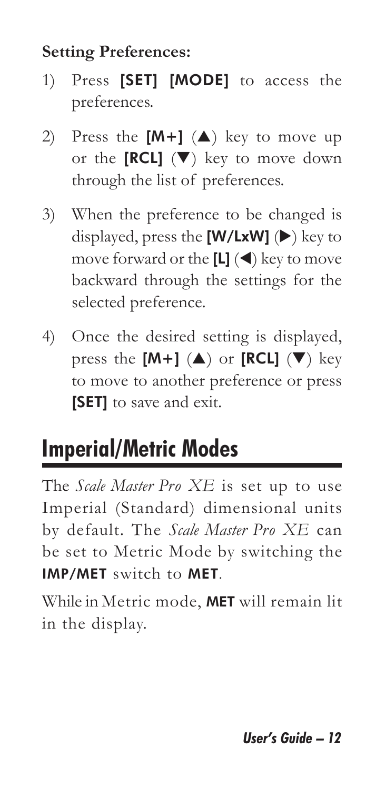#### **Setting Preferences:**

- 1) Press [SET] [MODE] to access the preferences.
- 2) Press the  $[M+]$  ( $\triangle$ ) key to move up or the  $[RCL]$  ( $\nabla$ ) key to move down through the list of preferences.
- 3) When the preference to be changed is displayed, press the  $[W/LxW]$  ( $\blacktriangleright$ ) key to move forward or the  $[L]$  ( $\blacktriangleleft$ ) key to move backward through the settings for the selected preference.
- 4) Once the desired setting is displayed, press the  $[M+]$  ( $\triangle$ ) or  $[RCL]$  ( $\nabla$ ) key to move to another preference or press [SET] to save and exit.

## **Imperial/Metric Modes**

The *Scale Master Pro XE* is set up to use Imperial (Standard) dimensional units by default. The *Scale Master Pro XE* can be set to Metric Mode by switching the IMP/MET switch to MET.

While in Metric mode, MET will remain lit in the display.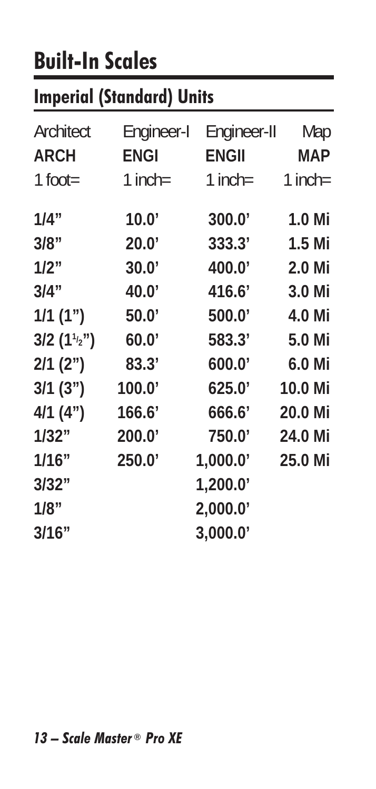## **Built-In Scales**

### **Imperial (Standard) Units**

| Architect<br><b>ARCH</b><br>$1$ foot= | Engineer-I<br><b>ENGI</b><br>$1$ inch= | Engineer-II<br><b>ENGII</b><br>1 inch= | Map<br><b>MAP</b><br>$1$ inch= |
|---------------------------------------|----------------------------------------|----------------------------------------|--------------------------------|
| 1/4"                                  | 10.0'                                  | 300.0'                                 | 1.0 Mi                         |
| 3/8"                                  | 20.0'                                  | 333.3'                                 | 1.5 Mi                         |
| 1/2"                                  | 30.0'                                  | 400.0'                                 | 2.0 Mi                         |
| 3/4"                                  | 40.0'                                  | 416.6'                                 | 3.0 Mi                         |
| 1/1(1")                               | 50.0'                                  | 500.0'                                 | 4.0 Mi                         |
| $3/2(1^{1/2})$                        | 60.0'                                  | 583.3'                                 | 5.0 Mi                         |
| $2/1$ (2")                            | 83.3'                                  | 600.0'                                 | 6.0 Mi                         |
| 3/1(3")                               | 100.0'                                 | 625.0'                                 | 10.0 Mi                        |
| 4/1(4")                               | 166.6'                                 | 666.6'                                 | 20.0 Mi                        |
| 1/32"                                 | 200.0'                                 | 750.0                                  | 24.0 Mi                        |
| 1/16"                                 | 250.0'                                 | 1,000.0                                | 25.0 Mi                        |
| 3/32"                                 |                                        | 1,200.0                                |                                |
| 1/8"                                  |                                        | 2,000.0'                               |                                |
| 3/16"                                 |                                        | 3,000.0'                               |                                |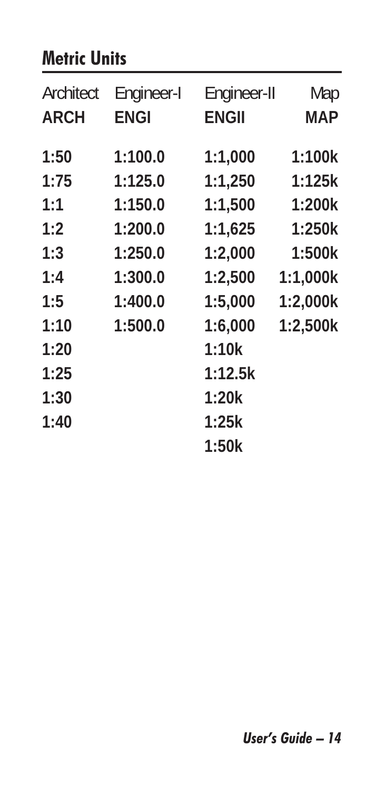#### **Metric Units**

| Architect<br><b>ARCH</b> | Engineer-I<br><b>ENGI</b> | Engineer-II<br><b>ENGII</b> | Map<br>MAP |
|--------------------------|---------------------------|-----------------------------|------------|
| 1:50                     | 1:100.0                   | 1:1,000                     | 1:100k     |
| 1:75                     | 1:125.0                   | 1:1,250                     | 1:125k     |
| 1:1                      | 1:150.0                   | 1:1.500                     | 1:200k     |
| 1:2                      | 1:200.0                   | 1:1,625                     | 1:250k     |
| 1:3                      | 1:250.0                   | 1:2,000                     | 1:500k     |
| 1:4                      | 1:300.0                   | 1:2,500                     | 1:1,000k   |
| 1:5                      | 1:400.0                   | 1:5,000                     | 1:2,000k   |
| 1:10                     | 1:500.0                   | 1:6,000                     | 1:2,500k   |
| 1:20                     |                           | 1:10k                       |            |
| 1:25                     |                           | 1:12.5k                     |            |
| 1:30                     |                           | 1:20k                       |            |
| 1:40                     |                           | 1:25k                       |            |
|                          |                           | 1:50k                       |            |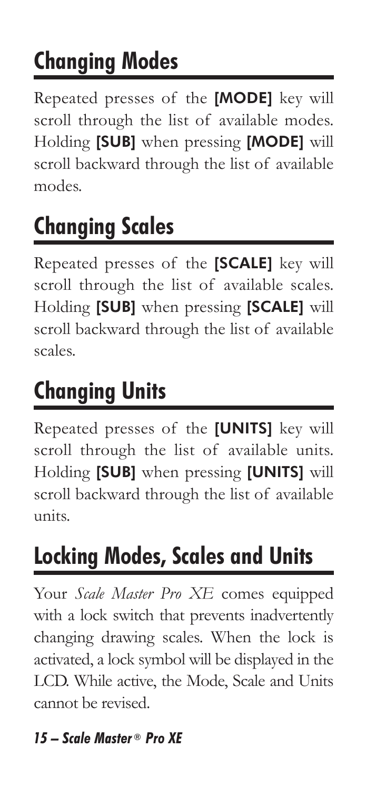## **Changing Modes**

Repeated presses of the [MODE] key will scroll through the list of available modes. Holding [SUB] when pressing [MODE] will scroll backward through the list of available modes.

## **Changing Scales**

Repeated presses of the [SCALE] key will scroll through the list of available scales. Holding [SUB] when pressing [SCALE] will scroll backward through the list of available scales.

## **Changing Units**

Repeated presses of the [UNITS] key will scroll through the list of available units. Holding [SUB] when pressing [UNITS] will scroll backward through the list of available units.

## **Locking Modes, Scales and Units**

Your *Scale Master Pro XE* comes equipped with a lock switch that prevents inadvertently changing drawing scales. When the lock is activated, a lock symbol will be displayed in the LCD. While active, the Mode, Scale and Units cannot be revised.

#### *15 – Scale Master ® Pro XE*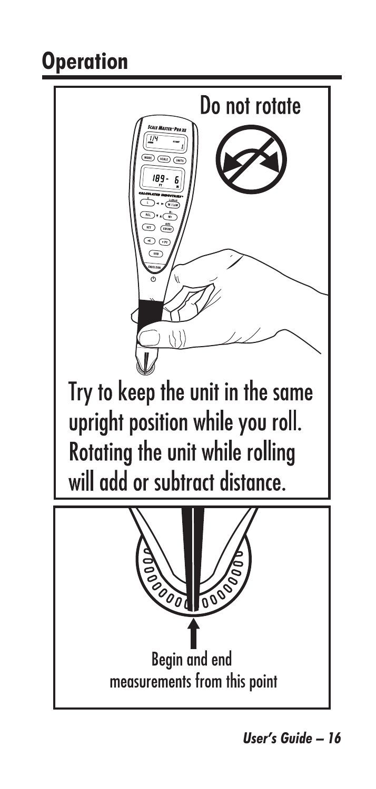### **Operation**

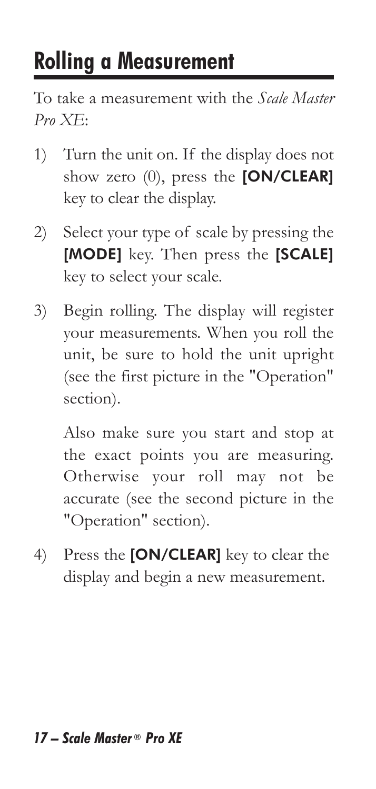## **Rolling a Measurement**

To take a measurement with the *Scale Master Pro XE*:

- 1) Turn the unit on. If the display does not show zero (0), press the [ON/CLEAR] key to clear the display.
- 2) Select your type of scale by pressing the [MODE] key. Then press the [SCALE] key to select your scale.
- 3) Begin rolling. The display will register your measurements. When you roll the unit, be sure to hold the unit upright (see the first picture in the "Operation" section).

 Also make sure you start and stop at the exact points you are measuring. Otherwise your roll may not be accurate (see the second picture in the "Operation" section).

4) Press the [ON/CLEAR] key to clear the display and begin a new measurement.

#### *17 – Scale Master ® Pro XE*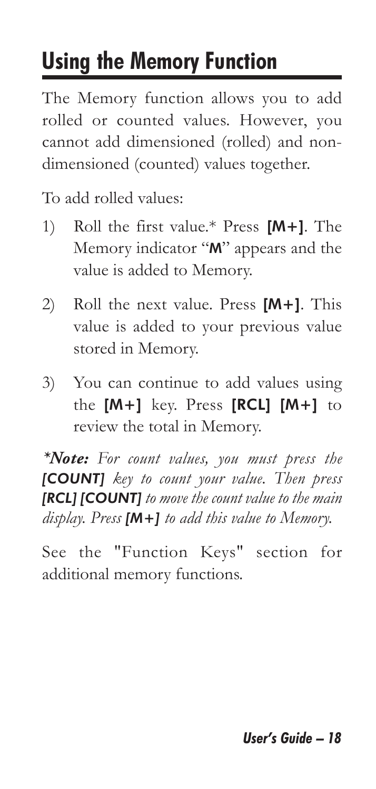## **Using the Memory Function**

The Memory function allows you to add rolled or counted values. However, you cannot add dimensioned (rolled) and nondimensioned (counted) values together.

To add rolled values:

- 1) Roll the first value.\* Press [M+]. The Memory indicator "M" appears and the value is added to Memory.
- 2) Roll the next value. Press [M+]. This value is added to your previous value stored in Memory.
- 3) You can continue to add values using the [M+] key. Press [RCL] [M+] to review the total in Memory.

*\*Note: For count values, you must press the [COUNT] key to count your value. Then press [RCL] [COUNT] to move the count value to the main display. Press [M+] to add this value to Memory.*

See the "Function Keys" section for additional memory functions.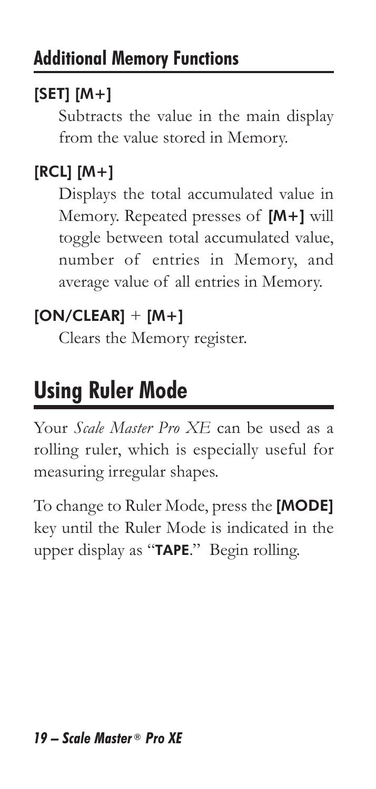#### $[SET] [M+]$

Subtracts the value in the main display from the value stored in Memory.

#### [RCL] [M+]

Displays the total accumulated value in Memory. Repeated presses of [M+] will toggle between total accumulated value, number of entries in Memory, and average value of all entries in Memory.

#### $[ON/CLEAR] + [M+]$

Clears the Memory register.

## **Using Ruler Mode**

Your *Scale Master Pro XE* can be used as a rolling ruler, which is especially useful for measuring irregular shapes.

To change to Ruler Mode, press the [MODE] key until the Ruler Mode is indicated in the upper display as "TAPE." Begin rolling.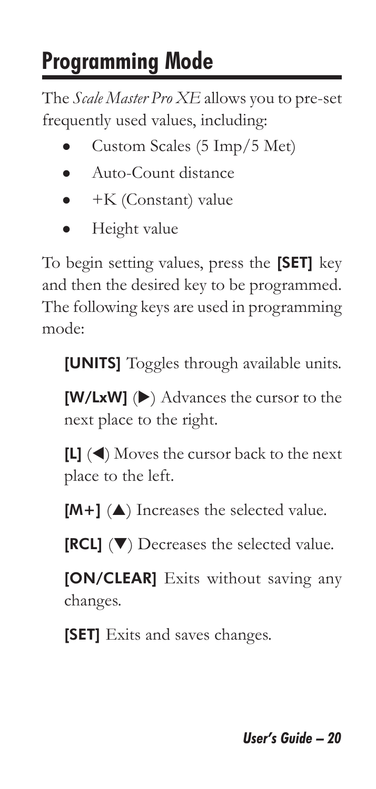## **Programming Mode**

The *Scale Master Pro XE* allows you to pre-set frequently used values, including:

- Custom Scales (5 Imp/5 Met)
- Auto-Count distance
- $\bullet$  +K (Constant) value
- Height value

To begin setting values, press the [SET] key and then the desired key to be programmed. The following keys are used in programming mode:

[UNITS] Toggles through available units.

 $[W/LxW]$  ( $\blacktriangleright$ ) Advances the cursor to the next place to the right.

 $[L]$  ( $\triangleleft$ ) Moves the cursor back to the next place to the left.

 $[M+]$  ( $\triangle$ ) Increases the selected value.

 $[RCL]$  ( $\nabla$ ) Decreases the selected value.

[ON/CLEAR] Exits without saving any changes.

[SET] Exits and saves changes.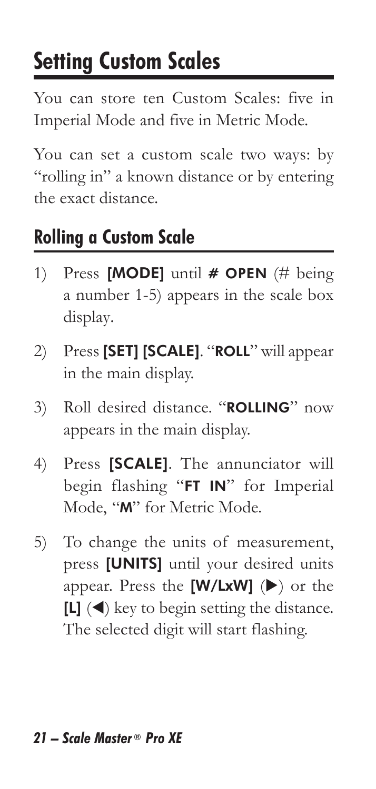## **Setting Custom Scales**

You can store ten Custom Scales: five in Imperial Mode and five in Metric Mode.

You can set a custom scale two ways: by "rolling in" a known distance or by entering the exact distance.

#### **Rolling a Custom Scale**

- 1) Press [MODE] until  $#$  OPEN (# being a number 1-5) appears in the scale box display.
- 2) Press [SET] [SCALE]. "ROLL" will appear in the main display.
- 3) Roll desired distance. "ROLLING" now appears in the main display.
- 4) Press [SCALE]. The annunciator will begin flashing "FT IN" for Imperial Mode, "M" for Metric Mode.
- 5) To change the units of measurement, press [UNITS] until your desired units appear. Press the  $[W/LxW]$  ( $\blacktriangleright$ ) or the  $[L]$  ( $\triangleleft$ ) key to begin setting the distance. The selected digit will start flashing.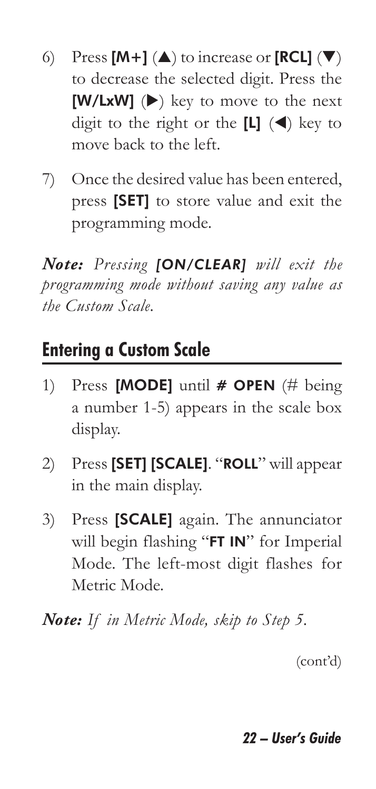- 6) Press  $[M+] (\triangle)$  to increase or  $[RCL] (\nabla)$ to decrease the selected digit. Press the  $[W/LxW]$  ( $\blacktriangleright$ ) key to move to the next digit to the right or the  $[L]$  ( $\blacktriangleleft$ ) key to move back to the left.
- 7) Once the desired value has been entered, press [SET] to store value and exit the programming mode.

*Note: Pressing [ON/CLEAR] will exit the programming mode without saving any value as the Custom Scale.* 

#### **Entering a Custom Scale**

- 1) Press [MODE] until  $#$  OPEN (# being a number 1-5) appears in the scale box display.
- 2) Press [SET] [SCALE]. "ROLL" will appear in the main display.
- 3) Press [SCALE] again. The annunciator will begin flashing "FT IN" for Imperial Mode. The left-most digit flashes for Metric Mode.

*Note: If in Metric Mode, skip to Step 5.*

(cont'd)

#### *22 – User's Guide*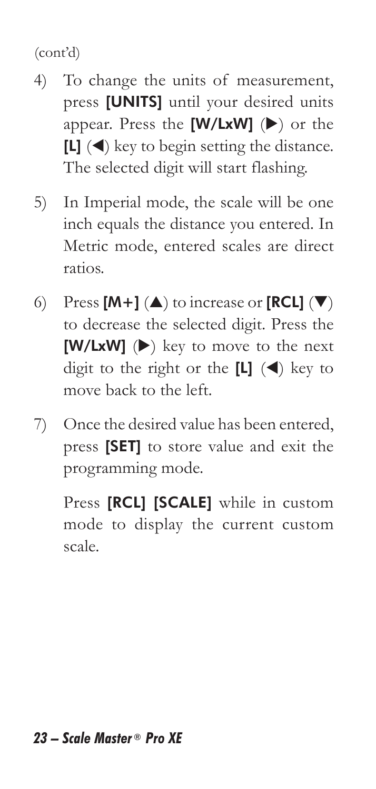(cont'd)

- 4) To change the units of measurement, press [UNITS] until your desired units appear. Press the  $[W/LxW]$  ( $\blacktriangleright$ ) or the  $[L]$  ( $\triangleleft$ ) key to begin setting the distance. The selected digit will start flashing.
- 5) In Imperial mode, the scale will be one inch equals the distance you entered. In Metric mode, entered scales are direct ratios.
- 6) Press  $[M+] (\triangle)$  to increase or  $[RCL] (\nabla)$ to decrease the selected digit. Press the  $[W/LxW]$  ( $\blacktriangleright$ ) key to move to the next digit to the right or the  $[L]$  ( $\blacktriangleleft$ ) key to move back to the left.
- 7) Once the desired value has been entered, press [SET] to store value and exit the programming mode.

Press [RCL] [SCALE] while in custom mode to display the current custom scale.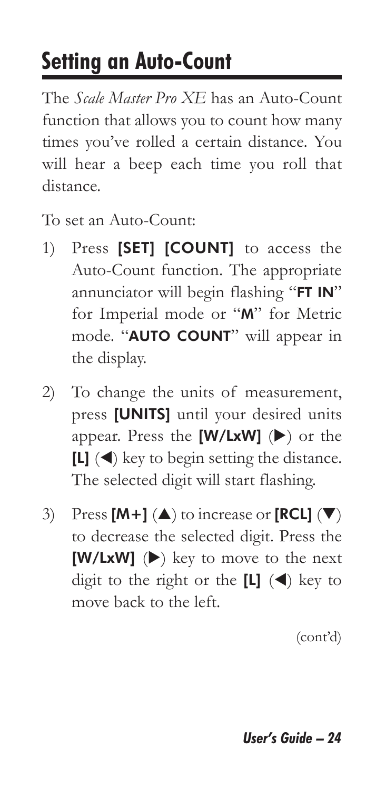### **Setting an Auto-Count**

The *Scale Master Pro XE* has an Auto-Count function that allows you to count how many times you've rolled a certain distance. You will hear a beep each time you roll that distance.

To set an Auto-Count:

- 1) Press [SET] [COUNT] to access the Auto-Count function. The appropriate annunciator will begin flashing "FT IN" for Imperial mode or "M" for Metric mode. "AUTO COUNT" will appear in the display.
- 2) To change the units of measurement, press [UNITS] until your desired units appear. Press the  $[W/LxW]$  ( $\blacktriangleright$ ) or the  $[L]$  ( $\blacktriangleleft$ ) key to begin setting the distance. The selected digit will start flashing.
- 3) Press  $[M+] (\triangle)$  to increase or  $[RCL] (\nabla)$ to decrease the selected digit. Press the  $[W/LxW]$  ( $\blacktriangleright$ ) key to move to the next digit to the right or the  $[L]$  ( $\blacktriangleleft$ ) key to move back to the left.

(cont'd)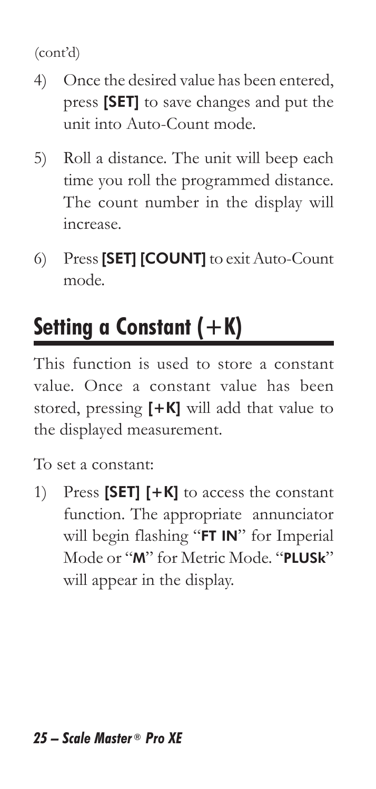(cont'd)

- 4) Once the desired value has been entered, press [SET] to save changes and put the unit into Auto-Count mode.
- 5) Roll a distance. The unit will beep each time you roll the programmed distance. The count number in the display will increase.
- 6) Press [SET] [COUNT] to exit Auto-Count mode.

## **Setting a Constant (+K)**

This function is used to store a constant value. Once a constant value has been stored, pressing  $[+K]$  will add that value to the displayed measurement.

To set a constant:

1) Press [SET] [+K] to access the constant function. The appropriate annunciator will begin flashing "FT IN" for Imperial Mode or "M" for Metric Mode. "PLUSk" will appear in the display.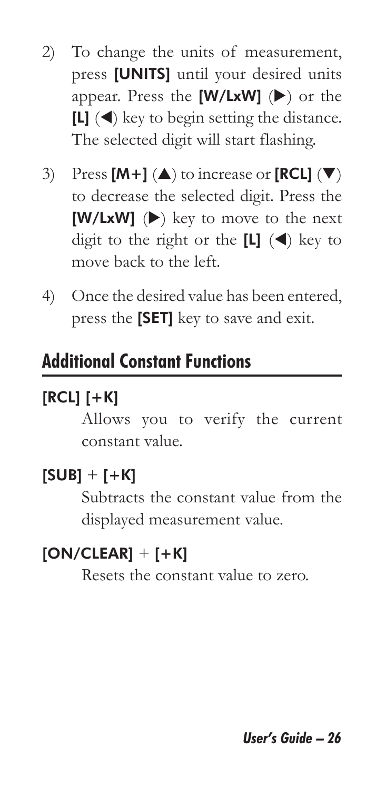- 2) To change the units of measurement, press [UNITS] until your desired units appear. Press the  $[W/LxW]$  ( $\blacktriangleright$ ) or the  $[L]$  ( $\blacktriangleleft$ ) key to begin setting the distance. The selected digit will start flashing.
- 3) Press  $[M+] (\triangle)$  to increase or  $[RCL] (\nabla)$ to decrease the selected digit. Press the  $[W/LxW]$  ( $\blacktriangleright$ ) key to move to the next digit to the right or the  $[L]$  ( $\blacktriangleleft$ ) key to move back to the left.
- 4) Once the desired value has been entered, press the [SET] key to save and exit.

#### **Additional Constant Functions**

#### $[RCL]$   $[+K]$

Allows you to verify the current constant value.

#### $[SUB] + [+K]$

Subtracts the constant value from the displayed measurement value.

#### $[ON/CLEAR] + [+K]$

Resets the constant value to zero.

*User's Guide – 26*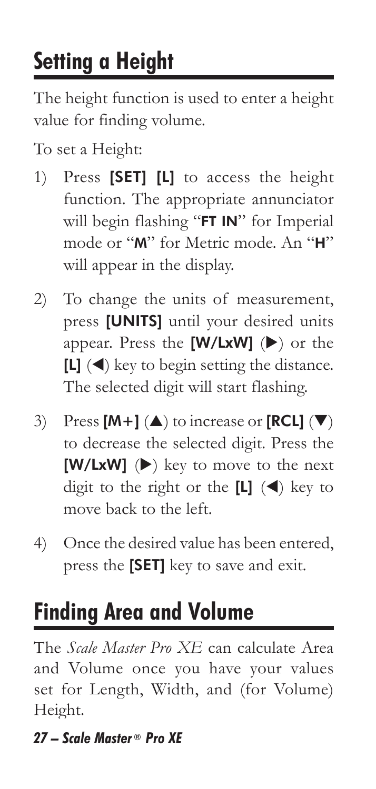## **Setting a Height**

The height function is used to enter a height value for finding volume.

To set a Height:

- 1) Press [SET] [L] to access the height function. The appropriate annunciator will begin flashing "FT IN" for Imperial mode or "M" for Metric mode. An "H" will appear in the display.
- 2) To change the units of measurement, press [UNITS] until your desired units appear. Press the  $[W/LxW]$  ( $\blacktriangleright$ ) or the  $[L]$  ( $\triangleleft$ ) key to begin setting the distance. The selected digit will start flashing.
- 3) Press  $[M+] (\triangle)$  to increase or  $[RCL] (\nabla)$ to decrease the selected digit. Press the  $[W/LxW]$  ( $\blacktriangleright$ ) key to move to the next digit to the right or the  $[L]$  ( $\blacktriangleleft$ ) key to move back to the left.
- 4) Once the desired value has been entered, press the [SET] key to save and exit.

## **Finding Area and Volume**

The *Scale Master Pro XE* can calculate Area and Volume once you have your values set for Length, Width, and (for Volume) Height.

#### *27 – Scale Master ® Pro XE*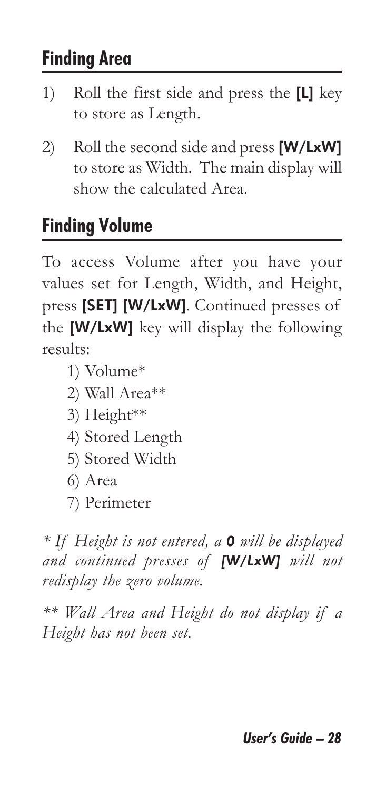#### **Finding Area**

- 1) Roll the first side and press the [L] key to store as Length.
- 2) Roll the second side and press  $[W/LxW]$ to store as Width. The main display will show the calculated Area.

#### **Finding Volume**

To access Volume after you have your values set for Length, Width, and Height, press [SET] [W/LxW]. Continued presses of the [W/LxW] key will display the following results:

- 1) Volume\*
- 2) Wall Area\*\*
- 3) Height\*\*
- 4) Stored Length
- 5) Stored Width
- 6) Area
- 7) Perimeter

*\* If Height is not entered, a 0 will be displayed and continued presses of [W/LxW] will not redisplay the zero volume.*

*\*\* Wall Area and Height do not display if a Height has not been set.*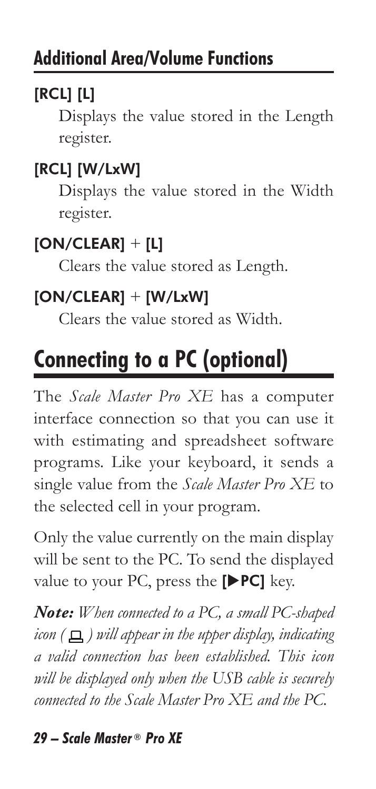#### [RCL] [L]

Displays the value stored in the Length register.

#### [RCL] [W/LxW]

Displays the value stored in the Width register.

#### $[ON/CLEAR] + [L]$

Clears the value stored as Length.

#### $[ON/CLEAR] + [W/LxW]$

Clears the value stored as Width.

## **Connecting to a PC (optional)**

The *Scale Master Pro XE* has a computer interface connection so that you can use it with estimating and spreadsheet software programs. Like your keyboard, it sends a single value from the *Scale Master Pro XE* to the selected cell in your program.

Only the value currently on the main display will be sent to the PC. To send the displayed value to your PC, press the  $[P C]$  key.

*Note: When connected to a PC, a small PC-shaped icon* ( $\Box$ ) *will appear in the upper display, indicating a valid connection has been established. This icon will be displayed only when the USB cable is securely connected to the Scale Master Pro XE and the PC.*

#### *29 – Scale Master ® Pro XE*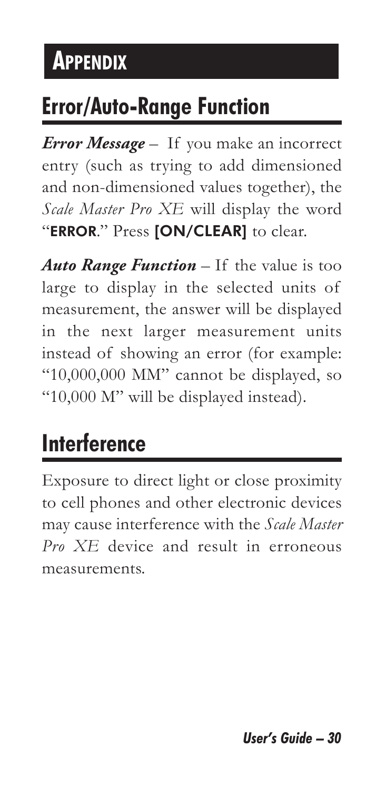## **APPENDIX**

### **Error/Auto-Range Function**

*Error Message* – If you make an incorrect entry (such as trying to add dimensioned and non-dimensioned values together), the *Scale Master Pro XE* will display the word "ERROR." Press [ON/CLEAR] to clear.

*Auto Range Function* – If the value is too large to display in the selected units of measurement, the answer will be displayed in the next larger measurement units instead of showing an error (for example: "10,000,000 MM" cannot be displayed, so "10,000 M" will be displayed instead).

## **Interference**

Exposure to direct light or close proximity to cell phones and other electronic devices may cause interference with the *Scale Master Pro XE* device and result in erroneous measurements.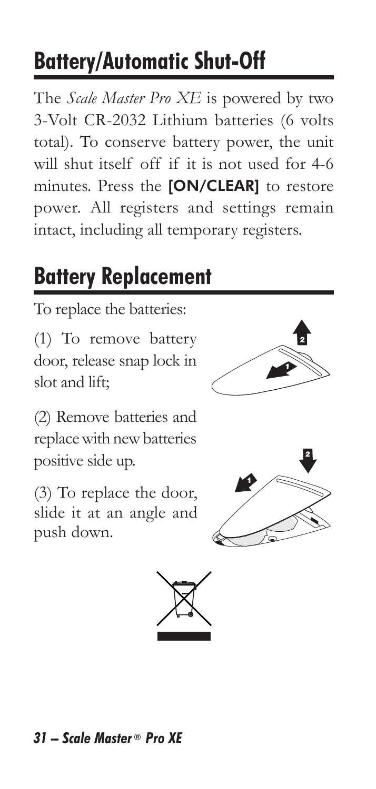## **Battery/Automatic Shut-Off**

The *Scale Master Pro XE* is powered by two 3-Volt CR-2032 Lithium batteries (6 volts total). To conserve battery power, the unit will shut itself off if it is not used for 4-6 minutes. Press the [ON/CLEAR] to restore power. All registers and settings remain intact, including all temporary registers.

## **Battery Replacement**

To replace the batteries:

(1) To remove battery door, release snap lock in slot and lift;



(2) Remove batteries and replace with new batteries positive side up.

(3) To replace the door, slide it at an angle and push down.





#### *31 – Scale Master ® Pro XE*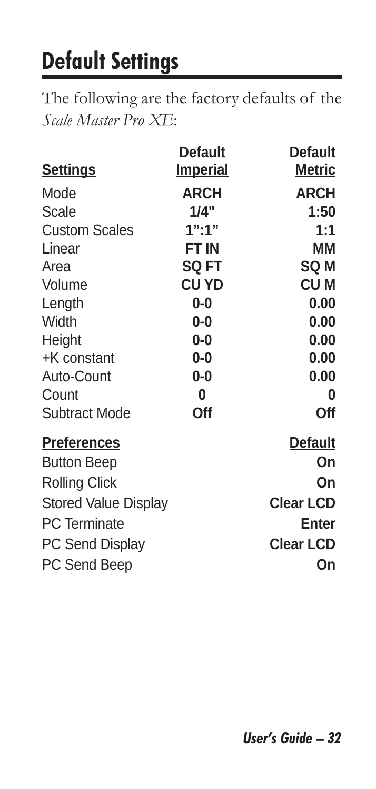## **Default Settings**

The following are the factory defaults of the *Scale Master Pro XE*:

|                             | <b>Default</b>  | Default          |
|-----------------------------|-----------------|------------------|
| <b>Settings</b>             | <b>Imperial</b> | <b>Metric</b>    |
| Mode                        | <b>ARCH</b>     | ARCH             |
| Scale                       | 1/4"            | 1:50             |
| <b>Custom Scales</b>        | $1"$ :1"        | 1:1              |
| Linear                      | FT IN           | MМ               |
| Area                        | <b>SQ FT</b>    | SQ M             |
| Volume                      | CU YD           | CU M             |
| Length                      | $0-0$           | 0.00             |
| Width                       | $0-0$           | 0.00             |
| Height                      | $0-0$           | 0.00             |
| +K constant                 | 0-0             | 0.00             |
| Auto-Count                  | $0-0$           | 0.00             |
| Count                       | 0               | 0                |
| Subtract Mode               | Off             | Off              |
| <b>Preferences</b>          |                 | Default          |
| <b>Button Beep</b>          |                 | On               |
| Rolling Click               |                 | On               |
| <b>Stored Value Display</b> |                 | <b>Clear LCD</b> |
| <b>PC</b> Terminate         |                 | Enter            |
| PC Send Display             |                 | Clear LCD        |
| PC Send Beep                |                 | On               |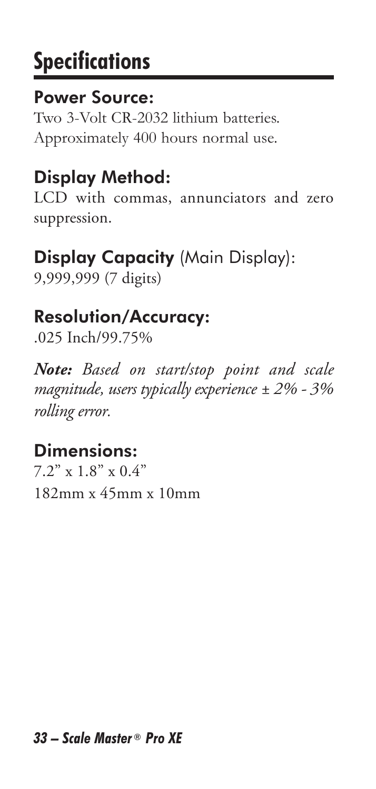## **Specifications**

#### Power Source:

Two 3-Volt CR-2032 lithium batteries. Approximately 400 hours normal use.

### Display Method:

LCD with commas, annunciators and zero suppression.

### Display Capacity (Main Display):

9,999,999 (7 digits)

#### Resolution/Accuracy:

.025 Inch/99.75%

*Note: Based on start/stop point and scale magnitude, users typically experience ± 2% - 3% rolling error.*

#### Dimensions:

7.2" x 1.8" x 0.4" 182mm x 45mm x 10mm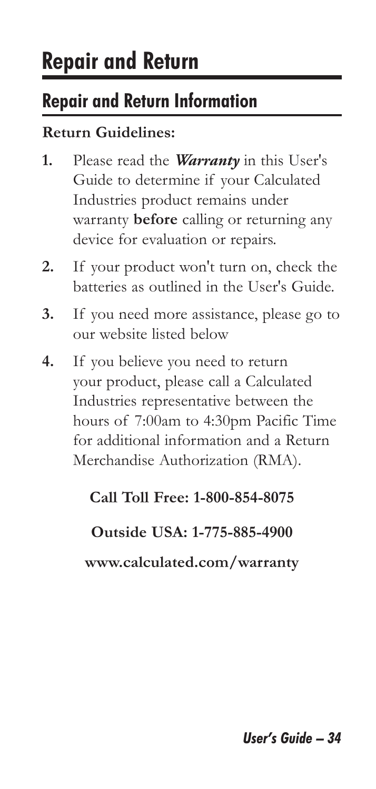### **Repair and Return**

#### **Repair and Return Information**

#### **Return Guidelines:**

- **1.** Please read the *Warranty* in this User's Guide to determine if your Calculated Industries product remains under warranty **before** calling or returning any device for evaluation or repairs.
- **2.** If your product won't turn on, check the batteries as outlined in the User's Guide.
- **3.** If you need more assistance, please go to our website listed below
- **4.** If you believe you need to return your product, please call a Calculated Industries representative between the hours of 7:00am to 4:30pm Pacific Time for additional information and a Return Merchandise Authorization (RMA).

#### **Call Toll Free: 1-800-854-8075**

#### **Outside USA: 1-775-885-4900**

**www.calculated.com/warranty**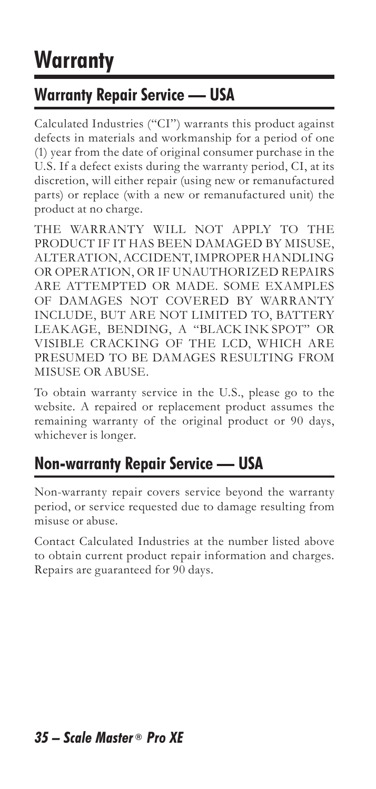## **Warranty**

#### **Warranty Repair Service — USA**

Calculated Industries ("CI") warrants this product against defects in materials and workmanship for a period of one (1) year from the date of original consumer purchase in the U.S. If a defect exists during the warranty period, CI, at its discretion, will either repair (using new or remanufactured parts) or replace (with a new or remanufactured unit) the product at no charge.

THE WARRANTY WILL NOT APPLY TO THE PRODUCT IF IT HAS BEEN DAMAGED BY MISUSE, ALTERATION, ACCIDENT, IMPROPER HANDLING OR OPERATION, OR IF UNAUTHORIZED REPAIRS ARE ATTEMPTED OR MADE. SOME EXAMPLES OF DAMAGES NOT COVERED BY WARRANTY INCLUDE, BUT ARE NOT LIMITED TO, BATTERY LEAKAGE, BENDING, A "BLACK INK SPOT" OR VISIBLE CRACKING OF THE LCD, WHICH ARE PRESUMED TO BE DAMAGES RESULTING FROM MISUSE OR ABUSE.

To obtain warranty service in the U.S., please go to the website. A repaired or replacement product assumes the remaining warranty of the original product or 90 days, whichever is longer.

#### **Non-warranty Repair Service — USA**

Non-warranty repair covers service beyond the warranty period, or service requested due to damage resulting from misuse or abuse.

Contact Calculated Industries at the number listed above to obtain current product repair information and charges. Repairs are guaranteed for 90 days.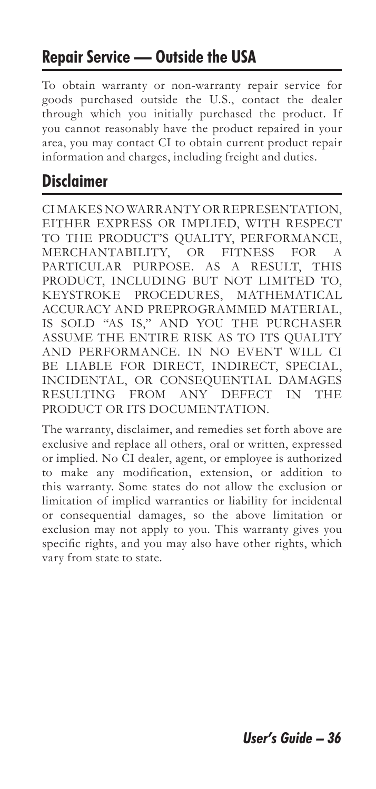#### **Repair Service — Outside the USA**

To obtain warranty or non-warranty repair service for goods purchased outside the U.S., contact the dealer through which you initially purchased the product. If you cannot reasonably have the product repaired in your area, you may contact CI to obtain current product repair information and charges, including freight and duties.

#### **Disclaimer**

CI MAKES NO WARRANTY OR REPRESENTATION, EITHER EXPRESS OR IMPLIED, WITH RESPECT TO THE PRODUCT'S QUALITY, PERFORMANCE, MERCHANTABILITY, OR FITNESS FOR A PARTICULAR PURPOSE. AS A RESULT, THIS PRODUCT, INCLUDING BUT NOT LIMITED TO, KEYSTROKE PROCEDURES, MATHEMATICAL ACCURACY AND PREPROGRAMMED MATERIAL, IS SOLD "AS IS," AND YOU THE PURCHASER ASSUME THE ENTIRE RISK AS TO ITS QUALITY AND PERFORMANCE. IN NO EVENT WILL CI BE LIABLE FOR DIRECT, INDIRECT, SPECIAL, INCIDENTAL, OR CONSEQUENTIAL DAMAGES RESULTING FROM ANY DEFECT IN THE PRODUCT OR ITS DOCUMENTATION.

The warranty, disclaimer, and remedies set forth above are exclusive and replace all others, oral or written, expressed or implied. No CI dealer, agent, or employee is authorized to make any modification, extension, or addition to this warranty. Some states do not allow the exclusion or limitation of implied warranties or liability for incidental or consequential damages, so the above limitation or exclusion may not apply to you. This warranty gives you specific rights, and you may also have other rights, which vary from state to state.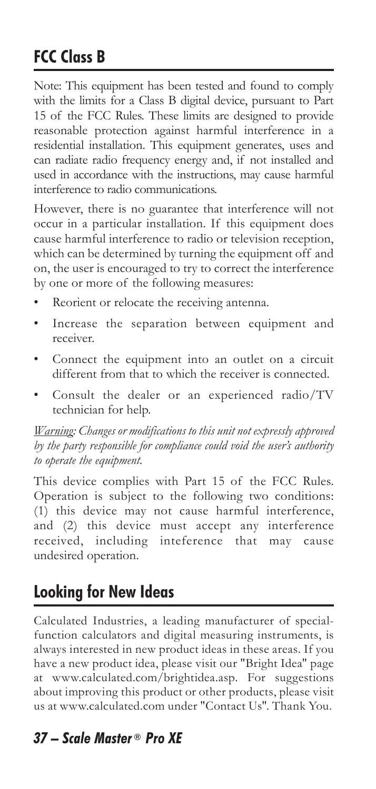#### **FCC Class B**

Note: This equipment has been tested and found to comply with the limits for a Class B digital device, pursuant to Part 15 of the FCC Rules. These limits are designed to provide reasonable protection against harmful interference in a residential installation. This equipment generates, uses and can radiate radio frequency energy and, if not installed and used in accordance with the instructions, may cause harmful interference to radio communications.

However, there is no guarantee that interference will not occur in a particular installation. If this equipment does cause harmful interference to radio or television reception, which can be determined by turning the equipment off and on, the user is encouraged to try to correct the interference by one or more of the following measures:

- Reorient or relocate the receiving antenna.
- Increase the separation between equipment and receiver.
- Connect the equipment into an outlet on a circuit different from that to which the receiver is connected.
- Consult the dealer or an experienced radio/TV technician for help.

*Warning: Changes or modifications to this unit not expressly approved by the party responsible for compliance could void the user's authority to operate the equipment.*

This device complies with Part 15 of the FCC Rules. Operation is subject to the following two conditions: (1) this device may not cause harmful interference, and (2) this device must accept any interference received, including inteference that may cause undesired operation.

#### **Looking for New Ideas**

Calculated Industries, a leading manufacturer of specialfunction calculators and digital measuring instruments, is always interested in new product ideas in these areas. If you have a new product idea, please visit our "Bright Idea" page at www.calculated.com/brightidea.asp. For suggestions about improving this product or other products, please visit us at www.calculated.com under "Contact Us". Thank You.

#### *37 – Scale Master ® Pro XE*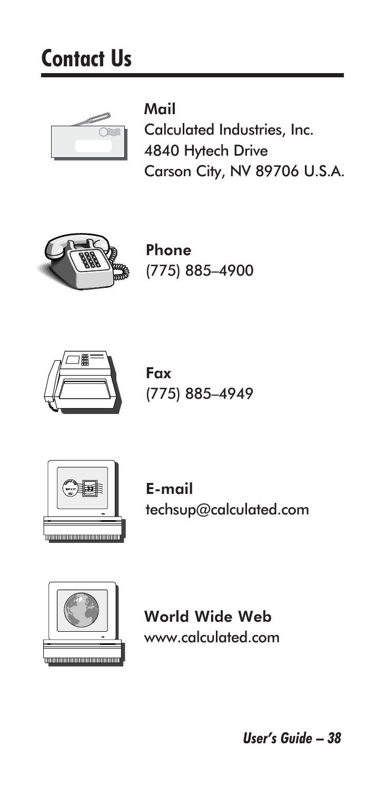## **Contact Us**



Mail Calculated Industries, Inc. 4840 Hytech Drive Carson City, NV 89706 U.S.A.



Phone (775) 885–4900



Fax (775) 885–4949



E-mail techsup@calculated.com



World Wide Web www.calculated.com

*User's Guide – 38*